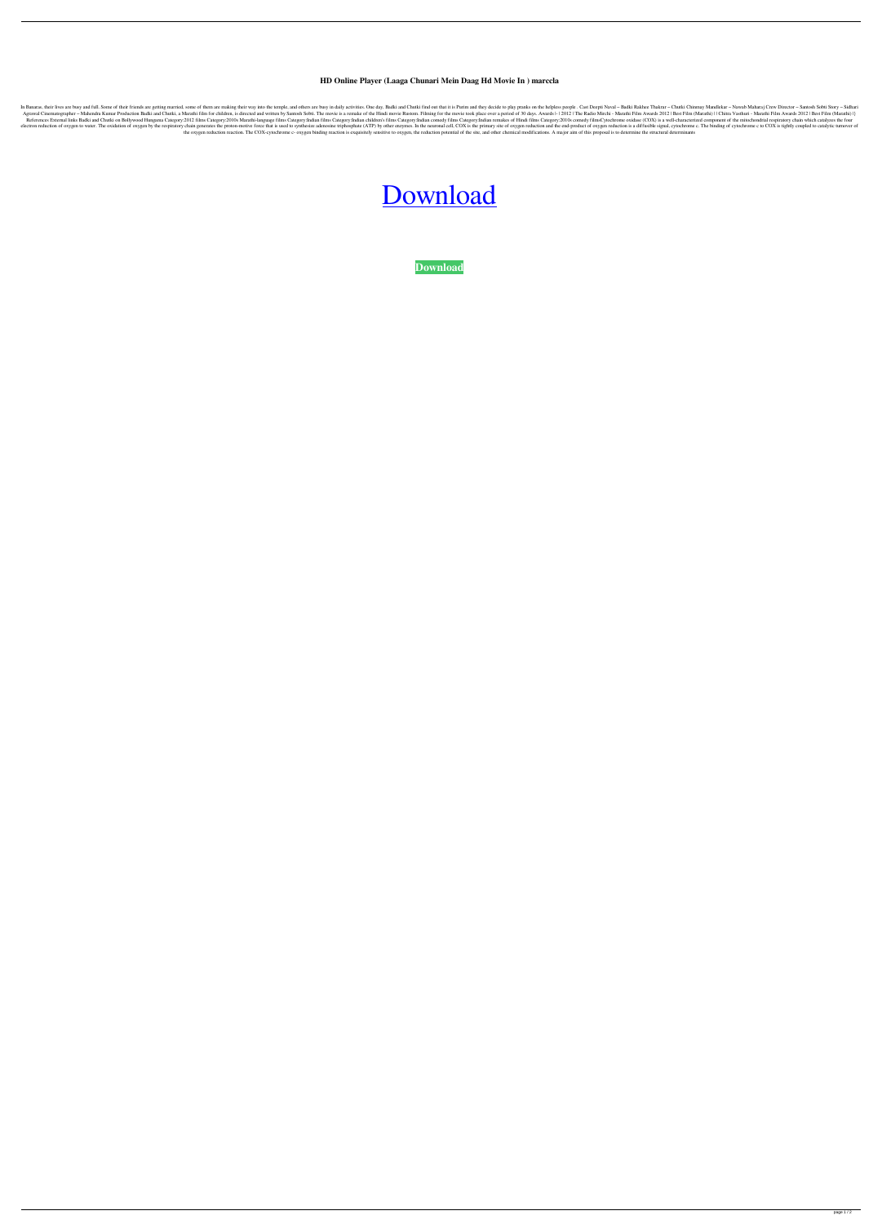## **HD Online Player (Laaga Chunari Mein Daag Hd Movie In ) marccla**

In Banaras, their lives are busy and full. Some of their friends are getting married, some of them are making their way into the temple, and others are busy in daily activities. One day, Badki and Chutki find out that it i Agrawal Cinematographer - Mahendra Kumar Production Badki and Chutki, a Marathi film for children, is directed and written by Santosh Sobti. The movie is a remake of the Hindi movie Rustom. Filming for the movie took place References External links Badki and Chutki on Bollywood Hungama Category:2012 films Category:2010s Marathi-language films Category:Indian films Category:Indian films Category:Indian comedy films Category:2010s comedy films electron reduction of oxygen to water. The oxidation of oxygen by the respiratory chain generates the proton-motive force that is used to synthesize adenosine triphosphate (ATP) by other enzymes. In the neuronal cell, COX the oxygen reduction reaction. The COX-cytochrome c- oxygen binding reaction is exquisitely sensitive to oxygen, the reduction potential of the site, and other chemical modifications. A major aim of this proposal is to det

## [Download](http://evacdir.com/SEQgT25saW5lIFBsYXllciAoTGFhZ2EgQ2h1bmFyaSBNZWluIERhYWcgaGQgbW92aWUgaW4gKQSEQ/fourthly/interbrew/yeah.coefficient.seductive?ZG93bmxvYWR8U1Q5TWpKa2VIeDhNVFkxTWpRMk16QTFNSHg4TWpVM05IeDhLRTBwSUhKbFlXUXRZbXh2WnlCYlJtRnpkQ0JIUlU1ZA=)

**[Download](http://evacdir.com/SEQgT25saW5lIFBsYXllciAoTGFhZ2EgQ2h1bmFyaSBNZWluIERhYWcgaGQgbW92aWUgaW4gKQSEQ/fourthly/interbrew/yeah.coefficient.seductive?ZG93bmxvYWR8U1Q5TWpKa2VIeDhNVFkxTWpRMk16QTFNSHg4TWpVM05IeDhLRTBwSUhKbFlXUXRZbXh2WnlCYlJtRnpkQ0JIUlU1ZA=)**